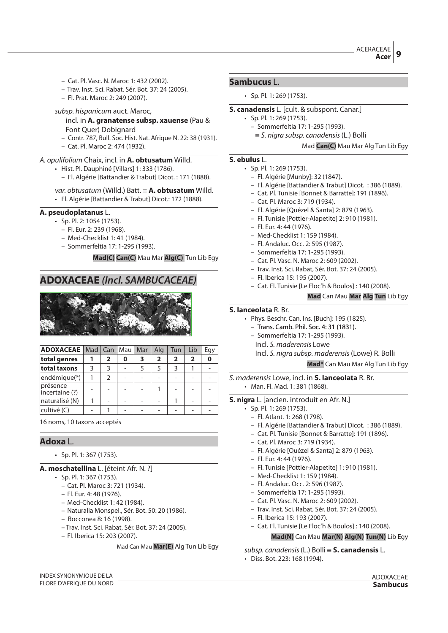- Cat. Pl. Vasc. N. Maroc 1: 432 (2002).
- Trav. Inst. Sci. Rabat, Sér. Bot. 37: 24 (2005).
- Fl. Prat. Maroc 2: 249 (2007).
- subsp. hispanicum auct. Maroc,
	- incl. in **A. granatense subsp. xauense** (Pau & Font Quer) Dobignard
	- Contr. 787, Bull. Soc. Hist. Nat. Afrique N. 22: 38 (1931). – Cat. Pl. Maroc 2: 474 (1932).
- A. opulifolium Chaix, incl. in **A. obtusatum** Willd.

• Hist. Pl. Dauphiné [Villars] 1: 333 (1786).

– Fl. Algérie [Battandier & Trabut] Dicot. : 171 (1888).

# var. obtusatum (Willd.) Batt. { **A. obtusatum** Willd.

• Fl. Algérie [Battandier & Trabut] Dicot.: 172 (1888).

## **A. pseudoplatanus** L.

- Sp. Pl. 2: 1054 (1753).
	- Fl. Eur. 2: 239 (1968).
	- Med-Checklist 1: 41 (1984).
	- Sommerfeltia 17: 1-295 (1993).

**Mad(C) Can(C)** Mau Mar **Alg(C)** Tun Lib Egy

## **ADOXACEAE (Incl. SAMBUCACEAE)**



| <b>ADOXACEAE</b>   Mad   Can   Mau |   |               |   | Mar | Alg            | Tun            | Lib | Egy |
|------------------------------------|---|---------------|---|-----|----------------|----------------|-----|-----|
| total genres                       |   | 2             | 0 | 3   | $\overline{2}$ | $\overline{2}$ | 2   |     |
| total taxons                       | 3 | 3             |   |     | 5              | 3              |     |     |
| endémique(*)                       |   | $\mathcal{P}$ |   |     |                |                |     |     |
| présence<br>incertaine (?)         |   |               |   |     |                |                |     |     |
| naturalisé (N)                     |   |               |   |     |                |                |     |     |
| cultivé (C)                        |   |               |   |     |                |                |     |     |

16 noms, 10 taxons acceptés

## **Adoxa** L.

• Sp. Pl. 1: 367 (1753).

## **A. moschatellina** L. [éteint Afr. N. ?]

- Sp. Pl. 1: 367 (1753).
	- Cat. Pl. Maroc 3: 721 (1934).
	- Fl. Eur. 4: 48 (1976).
	- Med-Checklist 1: 42 (1984).
	- Naturalia Monspel., Sér. Bot. 50: 20 (1986).
	- Bocconea 8: 16 (1998).
	- Trav. Inst. Sci. Rabat, Sér. Bot. 37: 24 (2005).
	- Fl. Iberica 15: 203 (2007).

Mad Can Mau **Mar(E)** Alg Tun Lib Egy

#### **Sambucus** L.

• Sp. Pl. 1: 269 (1753).

## **S. canadensis** L. [cult. & subspont. Canar.]

- Sp. Pl. 1: 269 (1753).
	- Sommerfeltia 17: 1-295 (1993).
	- $\equiv$  S. nigra subsp. canadensis (L.) Bolli

Mad **Can(C)** Mau Mar Alg Tun Lib Egy

## **S. ebulus** L.

- Sp. Pl. 1: 269 (1753).
	- Fl. Algérie [Munby]: 32 (1847).
	- Fl. Algérie [Battandier & Trabut] Dicot. : 386 (1889).
	- Cat. Pl. Tunisie [Bonnet & Barratte]: 191 (1896).
	- Cat. Pl. Maroc 3: 719 (1934).
	- Fl. Algérie [Quézel & Santa] 2: 879 (1963).
	- Fl. Tunisie [Pottier-Alapetite] 2: 910 (1981).
	- Fl. Eur. 4: 44 (1976).
	- Med-Checklist 1: 159 (1984).
	- Fl. Andaluc. Occ. 2: 595 (1987).
	- Sommerfeltia 17: 1-295 (1993).
	- Cat. Pl. Vasc. N. Maroc 2: 609 (2002).
	- Trav. Inst. Sci. Rabat, Sér. Bot. 37: 24 (2005).
	- Fl. Iberica 15: 195 (2007).
	- Cat. Fl. Tunisie [Le Floc'h & Boulos] : 140 (2008).

#### **Mad** Can Mau **Mar Alg Tun** Lib Egy

#### **S. lanceolata** R. Br.

- Phys. Beschr. Can. Ins. [Buch]: 195 (1825).
	- Trans. Camb. Phil. Soc. 4: 31 (1831).
	- Sommerfeltia 17: 1-295 (1993).
		- Incl. S. maderensis Lowe
		- Incl. S. nigra subsp. maderensis(Lowe) R. Bolli

**Mad\*** Can Mau Mar Alg Tun Lib Egy

S. maderensis Lowe, incl. in **S. lanceolata** R. Br. • Man. Fl. Mad. 1: 381 (1868).

- **S. nigra** L. [ancien. introduit en Afr. N.]
	- Sp. Pl. 1: 269 (1753).
		- Fl. Atlant. 1: 268 (1798).
		- Fl. Algérie [Battandier & Trabut] Dicot. : 386 (1889).
		- Cat. Pl. Tunisie [Bonnet & Barratte]: 191 (1896).
		- Cat. Pl. Maroc 3: 719 (1934).
		- Fl. Algérie [Quézel & Santa] 2: 879 (1963).
		- Fl. Eur. 4: 44 (1976).
		- Fl. Tunisie [Pottier-Alapetite] 1: 910 (1981).
		- Med-Checklist 1: 159 (1984).
		- Fl. Andaluc. Occ. 2: 596 (1987).
		- Sommerfeltia 17: 1-295 (1993).
		- Cat. Pl. Vasc. N. Maroc 2: 609 (2002).
		- Trav. Inst. Sci. Rabat, Sér. Bot. 37: 24 (2005).
		- Fl. Iberica 15: 193 (2007).
		- Cat. Fl. Tunisie [Le Floc'h & Boulos] : 140 (2008).

## **Mad(N)** Can Mau **Mar(N) Alg(N) Tun(N)** Lib Egy

subsp. canadensis(L.) Bolli { **S. canadensis** L.

• Diss. Bot. 223: 168 (1994).